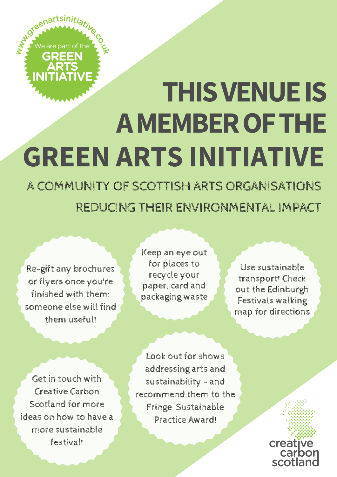

## THISVENUEIS AMEMBEROFTHE GREEN ARTS INITIATIVE

A COMMUNITY OF SCOTTISH ARTS ORGANISATIONS REDUCING THEIR ENVIRONMENTAL IMPACT

Re-gift any brochures or flyers once you're finished with them: someone else will find them useful!

Keep an eye out for places to recycle your paper, card and packaging waste

Use sustainable transport! Check out the Edinburgh Festivals walking map for directions

Get in touch with Creative Carbon Scotland for more ideas on how to have a more sustainable festival!

Look out for shows addressing arts and sustainability - and recommend them to the Fringe Sustainable Practice Award!

creat scotla